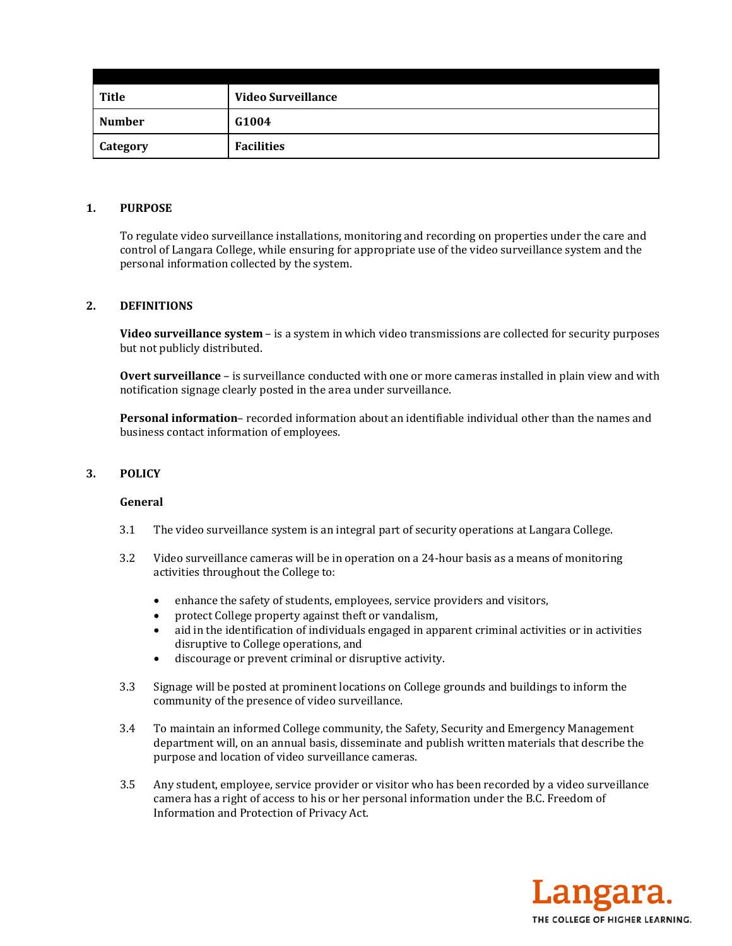| <b>Title</b>    | <b>Video Surveillance</b> |
|-----------------|---------------------------|
| <b>Number</b>   | G1004                     |
| <b>Category</b> | <b>Facilities</b>         |

## **1. PURPOSE**

To regulate video surveillance installations, monitoring and recording on properties under the care and control of Langara College, while ensuring for appropriate use of the video surveillance system and the personal information collected by the system.

### **2. DEFINITIONS**

**Video surveillance system** – is a system in which video transmissions are collected for security purposes but not publicly distributed.

**Overt surveillance** – is surveillance conducted with one or more cameras installed in plain view and with notification signage clearly posted in the area under surveillance.

**Personal information**– recorded information about an identifiable individual other than the names and business contact information of employees.

## **3. POLICY**

#### **General**

- 3.1 The video surveillance system is an integral part of security operations at Langara College.
- 3.2 Video surveillance cameras will be in operation on a 24-hour basis as a means of monitoring activities throughout the College to:
	- enhance the safety of students, employees, service providers and visitors,
	- protect College property against theft or vandalism,
	- aid in the identification of individuals engaged in apparent criminal activities or in activities disruptive to College operations, and
	- discourage or prevent criminal or disruptive activity.
- 3.3 Signage will be posted at prominent locations on College grounds and buildings to inform the community of the presence of video surveillance.
- 3.4 To maintain an informed College community, the Safety, Security and Emergency Management department will, on an annual basis, disseminate and publish written materials that describe the purpose and location of video surveillance cameras.
- 3.5 Any student, employee, service provider or visitor who has been recorded by a video surveillance camera has a right of access to his or her personal information under the B.C. Freedom of Information and Protection of Privacy Act.

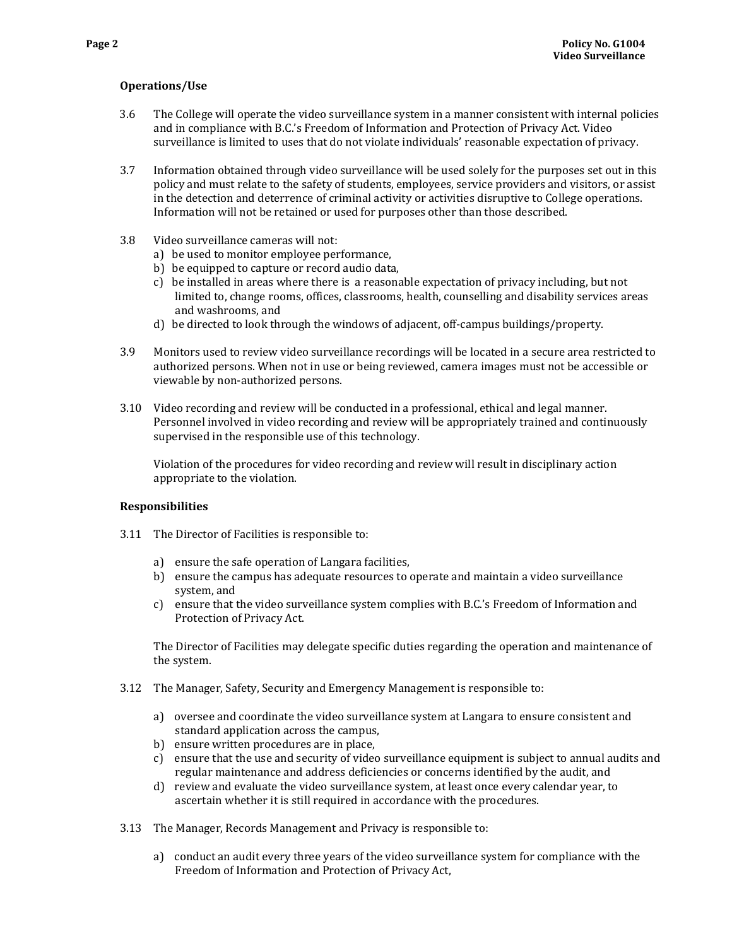# **Operations/Use**

- 3.6 The College will operate the video surveillance system in a manner consistent with internal policies and in compliance with B.C.'s Freedom of Information and Protection of Privacy Act. Video surveillance is limited to uses that do not violate individuals' reasonable expectation of privacy.
- 3.7 Information obtained through video surveillance will be used solely for the purposes set out in this policy and must relate to the safety of students, employees, service providers and visitors, or assist in the detection and deterrence of criminal activity or activities disruptive to College operations. Information will not be retained or used for purposes other than those described.
- 3.8 Video surveillance cameras will not:
	- a) be used to monitor employee performance,
	- b) be equipped to capture or record audio data,
	- c) be installed in areas where there is a reasonable expectation of privacy including, but not limited to, change rooms, offices, classrooms, health, counselling and disability services areas and washrooms, and
	- d) be directed to look through the windows of adiacent, off-campus buildings/property.
- 3.9 Monitors used to review video surveillance recordings will be located in a secure area restricted to authorized persons. When not in use or being reviewed, camera images must not be accessible or viewable by non-authorized persons.
- 3.10 Video recording and review will be conducted in a professional, ethical and legal manner. Personnel involved in video recording and review will be appropriately trained and continuously supervised in the responsible use of this technology.

Violation of the procedures for video recording and review will result in disciplinary action appropriate to the violation.

# **Responsibilities**

- 3.11 The Director of Facilities is responsible to:
	- a) ensure the safe operation of Langara facilities,
	- b) ensure the campus has adequate resources to operate and maintain a video surveillance system, and
	- c) ensure that the video surveillance system complies with B.C.'s Freedom of Information and Protection of Privacy Act.

The Director of Facilities may delegate specific duties regarding the operation and maintenance of the system.

- 3.12 The Manager, Safety, Security and Emergency Management is responsible to:
	- a) oversee and coordinate the video surveillance system at Langara to ensure consistent and standard application across the campus,
	- b) ensure written procedures are in place,
	- c) ensure that the use and security of video surveillance equipment is subject to annual audits and regular maintenance and address deficiencies or concerns identified by the audit, and
	- d) review and evaluate the video surveillance system, at least once every calendar year, to ascertain whether it is still required in accordance with the procedures.
- 3.13 The Manager, Records Management and Privacy is responsible to:
	- a) conduct an audit every three years of the video surveillance system for compliance with the Freedom of Information and Protection of Privacy Act,